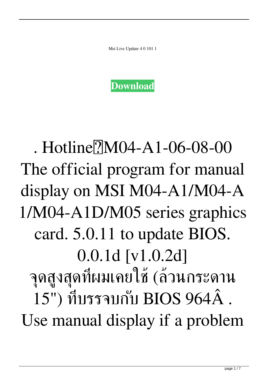Msi Live Update 4 0 101 1



## . Hotline $\overline{7}$ M04-A1-06-08-00 The official program for manual display on MSI M04-A1/M04-A 1/M04-A1D/M05 series graphics card. 5.0.11 to update BIOS. 0.0.1d [v1.0.2d] จุดสูงสุดที่ผมเคยใช้ (ล้วนกระดาน 15") ที่บรรจบกับ BIOS 964Â . Use manual display if a problem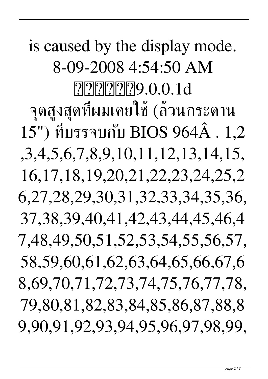is caused by the display mode. 8-09-2008 4:54:50 AM **????????**9.0.0.1d จุดสูงสุดที่ผมเคยใช้ (ล้วนกระดาน 15") ที่บรรจบกับ BIOS 964Â . 1,2 ,3,4,5,6,7,8,9,10,11,12,13,14,15, 16,17,18,19,20,21,22,23,24,25,2 6,27,28,29,30,31,32,33,34,35,36, 37,38,39,40,41,42,43,44,45,46,4 7,48,49,50,51,52,53,54,55,56,57, 58,59,60,61,62,63,64,65,66,67,6 8,69,70,71,72,73,74,75,76,77,78, 79,80,81,82,83,84,85,86,87,88,8 9,90,91,92,93,94,95,96,97,98,99,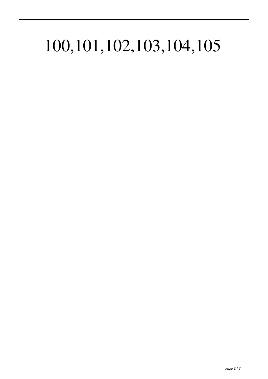## 100,101,102,103,104,105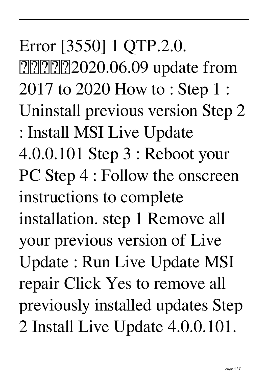Error [3550] 1 QTP.2.0. [2020.06.09 update from 2017 to 2020 How to : Step 1 : Uninstall previous version Step 2 : Install MSI Live Update 4.0.0.101 Step 3 : Reboot your PC Step 4 : Follow the onscreen instructions to complete installation. step 1 Remove all your previous version of Live Update : Run Live Update MSI repair Click Yes to remove all previously installed updates Step 2 Install Live Update 4.0.0.101.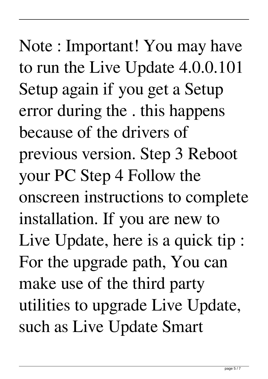Note : Important! You may have to run the Live Update 4.0.0.101 Setup again if you get a Setup error during the . this happens because of the drivers of previous version. Step 3 Reboot your PC Step 4 Follow the onscreen instructions to complete installation. If you are new to Live Update, here is a quick tip : For the upgrade path, You can make use of the third party utilities to upgrade Live Update, such as Live Update Smart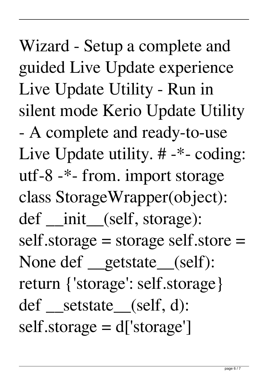Wizard - Setup a complete and guided Live Update experience Live Update Utility - Run in silent mode Kerio Update Utility - A complete and ready-to-use Live Update utility. # -\*- coding: utf-8 -\*- from. import storage class StorageWrapper(object): def \_\_init (self, storage): self.storage = storage self.store = None def getstate (self): return {'storage': self.storage} def \_setstate\_(self, d): self.storage = d['storage']